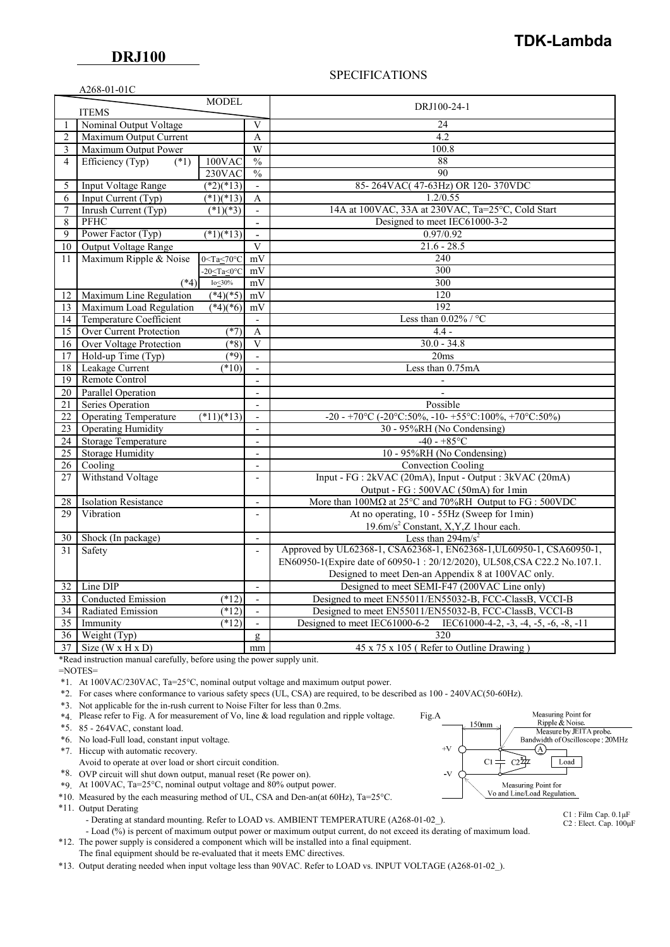$AA68.01.01C$ 

## **TDK-Lambda**

## SPECIFICATIONS

|                              | A200-01-01C                                                                           |                                                           |                          |                                                                                         |  |
|------------------------------|---------------------------------------------------------------------------------------|-----------------------------------------------------------|--------------------------|-----------------------------------------------------------------------------------------|--|
| <b>MODEL</b><br><b>ITEMS</b> |                                                                                       |                                                           |                          | DRJ100-24-1                                                                             |  |
|                              | Nominal Output Voltage                                                                |                                                           |                          | 24                                                                                      |  |
| 2                            | Maximum Output Current                                                                |                                                           | A                        | 4.2                                                                                     |  |
| 3                            | Maximum Output Power                                                                  |                                                           | W                        | 100.8                                                                                   |  |
| $\overline{4}$               | Efficiency (Typ)<br>$(*1)$                                                            | 100VAC                                                    | $\frac{0}{0}$            | 88                                                                                      |  |
|                              |                                                                                       | 230VAC                                                    | $\frac{0}{0}$            | 90                                                                                      |  |
| 5                            | $(*2)(*13)$<br><b>Input Voltage Range</b>                                             |                                                           | $\frac{1}{2}$            | 85-264VAC(47-63Hz) OR 120-370VDC                                                        |  |
| 6                            | Input Current (Typ)                                                                   | $(*1)(*13)$                                               | A                        | 1.2/0.55                                                                                |  |
| 7                            | Inrush Current (Typ)                                                                  | $\sqrt{(*1)(*3)}$                                         |                          | 14A at 100VAC, 33A at 230VAC, Ta=25°C, Cold Start                                       |  |
| 8                            | <b>PFHC</b>                                                                           |                                                           | $\bar{\phantom{a}}$      | Designed to meet IEC61000-3-2                                                           |  |
| 9                            | Power Factor (Typ)<br>$(*1)(*13)$                                                     |                                                           | $\overline{a}$           | 0.97/0.92                                                                               |  |
| 10                           | Output Voltage Range                                                                  |                                                           | $\overline{\mathbf{V}}$  | $21.6 - 28.5$                                                                           |  |
| 11                           | Maximum Ripple & Noise<br>$0 <$ Ta $\leq 70$ °C                                       |                                                           | mV                       | 240                                                                                     |  |
|                              |                                                                                       | $-20 \leq Ta \leq 0$ °C                                   | mV                       | 300                                                                                     |  |
|                              | $(*4)$                                                                                | $Io\_30\%$                                                | mV                       | 300                                                                                     |  |
| 12                           | Maximum Line Regulation                                                               | $(*4)(*5)$                                                | mV                       | 120                                                                                     |  |
| 13                           | Maximum Load Regulation                                                               | $(*4)(*6)$                                                | mV                       | 192                                                                                     |  |
| 14                           |                                                                                       |                                                           | Less than $0.02\%$ / °C  |                                                                                         |  |
| 15                           | <b>Temperature Coefficient</b><br>$\overline{\phantom{a}}$<br>Over Current Protection |                                                           |                          |                                                                                         |  |
|                              |                                                                                       | $4.4 -$<br>$(*7)$<br>A<br>$30.0 - 34.8$<br>$\overline{V}$ |                          |                                                                                         |  |
| 16                           | <b>Over Voltage Protection</b><br>(8)<br>$(*9)$                                       |                                                           |                          | 20ms                                                                                    |  |
| 17                           | Hold-up Time (Typ)                                                                    |                                                           | $\blacksquare$           |                                                                                         |  |
| 18                           | Leakage Current<br>(10)                                                               |                                                           |                          | Less than 0.75mA                                                                        |  |
| 19                           | Remote Control                                                                        |                                                           | $\blacksquare$           |                                                                                         |  |
| $\overline{20}$              | <b>Parallel Operation</b>                                                             |                                                           | $\overline{a}$           |                                                                                         |  |
| $\overline{21}$              | Series Operation                                                                      |                                                           | $\overline{a}$           | Possible                                                                                |  |
| 22                           | <b>Operating Temperature</b><br>$(*11)(*13)$                                          |                                                           | $\overline{a}$           | -20 - +70°C (-20°C:50%, -10- +55°C:100%, +70°C:50%)                                     |  |
| $\overline{23}$              | <b>Operating Humidity</b>                                                             |                                                           | $\blacksquare$           | 30 - 95%RH (No Condensing)                                                              |  |
| 24                           | <b>Storage Temperature</b>                                                            |                                                           | $\blacksquare$           | $-40 - +85$ °C                                                                          |  |
| $\overline{25}$              | <b>Storage Humidity</b>                                                               |                                                           | $\overline{a}$           | 10 - 95%RH (No Condensing)                                                              |  |
| 26                           | Cooling                                                                               |                                                           | $\overline{a}$           | Convection Cooling                                                                      |  |
|                              | Withstand Voltage<br>27                                                               |                                                           | $\frac{1}{2}$            | Input - FG : 2kVAC (20mA), Input - Output : 3kVAC (20mA)                                |  |
|                              |                                                                                       |                                                           |                          | Output - FG : 500VAC (50mA) for 1min                                                    |  |
| 28                           | <b>Isolation Resistance</b>                                                           |                                                           | $\overline{a}$           | More than $100M\Omega$ at $25^{\circ}$ C and $70\%$ RH Output to FG : 500VDC            |  |
| 29                           | Vibration                                                                             |                                                           | $\frac{1}{2}$            | At no operating, 10 - 55Hz (Sweep for 1min)                                             |  |
|                              |                                                                                       |                                                           |                          | 19.6m/s <sup>2</sup> Constant, X,Y,Z 1hour each.                                        |  |
| 30                           | Shock (In package)                                                                    |                                                           | $\frac{1}{2}$            | Less than $294 \text{m/s}^2$                                                            |  |
| 31                           | Safety                                                                                |                                                           | $\overline{\phantom{a}}$ | Approved by UL62368-1, CSA62368-1, EN62368-1, UL60950-1, CSA60950-1,                    |  |
|                              |                                                                                       |                                                           |                          | EN60950-1(Expire date of 60950-1:20/12/2020), UL508, CSA C22.2 No.107.1.                |  |
|                              |                                                                                       |                                                           |                          | Designed to meet Den-an Appendix 8 at 100VAC only.                                      |  |
| 32                           | Line DIP                                                                              |                                                           | $\overline{\phantom{a}}$ | Designed to meet SEMI-F47 (200VAC Line only)                                            |  |
| 33                           | Conducted Emission                                                                    | $(*12)$                                                   | $\mathcal{L}$            | Designed to meet EN55011/EN55032-B, FCC-ClassB, VCCI-B                                  |  |
| 34                           | Radiated Emission                                                                     | $\overline{(^*12)}$                                       | $\overline{a}$           | Designed to meet EN55011/EN55032-B, FCC-ClassB, VCCI-B                                  |  |
| 35                           | Immunity                                                                              | $\sqrt{12}$                                               | $\overline{\phantom{0}}$ | Designed to meet IEC61000-6-2<br>IEC61000-4-2, $-3$ , $-4$ , $-5$ , $-6$ , $-8$ , $-11$ |  |
| 36                           | Weight $(Typ)$                                                                        |                                                           | $\mathbf{g}$             | 320                                                                                     |  |
| 37                           | Size $(W \times H \times D)$                                                          |                                                           | mm                       | 45 x 75 x 105 (Refer to Outline Drawing)                                                |  |

\*Read instruction manual carefully, before using the power supply unit.

=NOTES=

\*1. At 100VAC/230VAC, Ta=25°C, nominal output voltage and maximum output power.

\*2. For cases where conformance to various safety specs (UL, CSA) are required, to be described as 100 - 240VAC(50-60Hz).

- \*3. Not applicable for the in-rush current to Noise Filter for less than 0.2ms.
- \*4. Please refer to Fig. A for measurement of Vo, line & load regulation and ripple voltage. Fig.A
- \*5. 85 264VAC, constant load.
- \*6. No load-Full load, constant input voltage.

\*7. Hiccup with automatic recovery.

- Avoid to operate at over load or short circuit condition.
- \*8. OVP circuit will shut down output, manual reset (Re power on).
- \*9. At 100VAC, Ta=25°C, nominal output voltage and 80% output power.
- \*10. Measured by the each measuring method of UL, CSA and Den-an(at 60Hz), Ta=25°C.
- \*11. Output Derating

- Derating at standard mounting. Refer to LOAD vs. AMBIENT TEMPERATURE (A268-01-02).

- Load (%) is percent of maximum output power or maximum output current, do not exceed its derating of maximum load. \*12. The power supply is considered a component which will be installed into a final equipment.
- The final equipment should be re-evaluated that it meets EMC directives.

\*13. Output derating needed when input voltage less than 90VAC. Refer to LOAD vs. INPUT VOLTAGE (A268-01-02\_).



C1 : Film Cap. 0.1μF C2 : Elect. Cap. 100μF